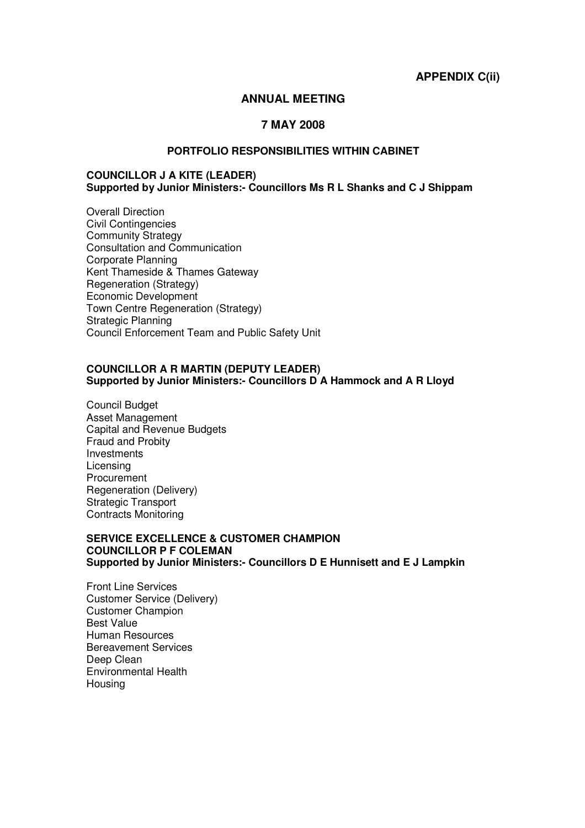**APPENDIX C(ii)** 

# **ANNUAL MEETING**

# **7 MAY 2008**

# **PORTFOLIO RESPONSIBILITIES WITHIN CABINET**

#### **COUNCILLOR J A KITE (LEADER) Supported by Junior Ministers:- Councillors Ms R L Shanks and C J Shippam**

Overall Direction Civil Contingencies Community Strategy Consultation and Communication Corporate Planning Kent Thameside & Thames Gateway Regeneration (Strategy) Economic Development Town Centre Regeneration (Strategy) Strategic Planning Council Enforcement Team and Public Safety Unit

#### **COUNCILLOR A R MARTIN (DEPUTY LEADER) Supported by Junior Ministers:- Councillors D A Hammock and A R Lloyd**

Council Budget Asset Management Capital and Revenue Budgets Fraud and Probity Investments Licensing Procurement Regeneration (Delivery) Strategic Transport Contracts Monitoring

# **SERVICE EXCELLENCE & CUSTOMER CHAMPION COUNCILLOR P F COLEMAN Supported by Junior Ministers:- Councillors D E Hunnisett and E J Lampkin**

Front Line Services Customer Service (Delivery) Customer Champion Best Value Human Resources Bereavement Services Deep Clean Environmental Health Housing